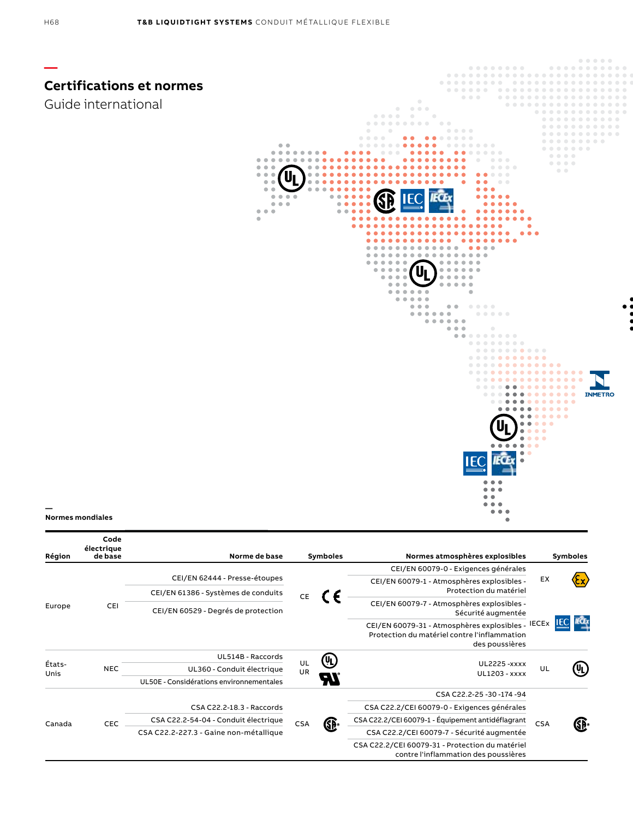

| Région         | électrique<br>de base | Norme de base                            |          | <b>Symboles</b>   | Normes atmosphères explosibles                                                                                      |            | Symboles         |
|----------------|-----------------------|------------------------------------------|----------|-------------------|---------------------------------------------------------------------------------------------------------------------|------------|------------------|
| Europe         | CEI                   |                                          | CE       |                   | CEI/EN 60079-0 - Exigences générales                                                                                | EX         |                  |
|                |                       | CEI/EN 62444 - Presse-étoupes            |          |                   | CEI/EN 60079-1 - Atmosphères explosibles -                                                                          |            | <u>(እኢ)</u>      |
|                |                       | CEI/EN 61386 - Systèmes de conduits      |          |                   | Protection du matériel                                                                                              |            |                  |
|                |                       | CEI/EN 60529 - Degrés de protection      |          |                   | CEI/EN 60079-7 - Atmosphères explosibles -<br>Sécurité augmentée                                                    |            | <b>IEC</b> IECLY |
|                |                       |                                          |          |                   | CEI/EN 60079-31 - Atmosphères explosibles - IECEx<br>Protection du matériel contre l'inflammation<br>des poussières |            |                  |
| États-<br>Unis | <b>NEC</b>            | UL514B - Raccords                        | UL<br>UR | (UL)<br>HT        |                                                                                                                     | UL         | (UL)             |
|                |                       | UL360 - Conduit électrique               |          |                   | <b>UL2225 - xxxx</b><br><b>UL1203 - xxxx</b>                                                                        |            |                  |
|                |                       | UL50E - Considérations environnementales |          |                   |                                                                                                                     |            |                  |
| Canada         | CEC                   |                                          |          |                   | CSA C22.2-25-30-174-94                                                                                              | <b>CSA</b> | GĚ∘              |
|                |                       | CSA C22.2-18.3 - Raccords                |          | GP®<br><b>CSA</b> | CSA C22.2/CEI 60079-0 - Exigences générales                                                                         |            |                  |
|                |                       | CSA C22.2-54-04 - Conduit électrique     |          |                   | CSA C22.2/CEI 60079-1 - Équipement antidéflagrant                                                                   |            |                  |
|                |                       | CSA C22.2-227.3 - Gaine non-métallique   |          |                   | CSA C22.2/CEI 60079-7 - Sécurité augmentée                                                                          |            |                  |
|                |                       |                                          |          |                   | CSA C22.2/CEI 60079-31 - Protection du matériel<br>contre l'inflammation des poussières                             |            |                  |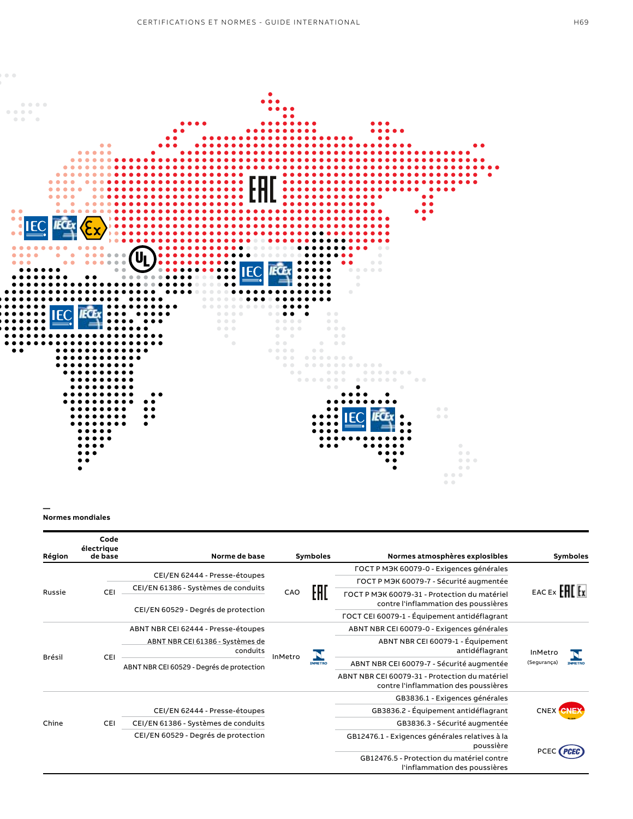

**— Normes mondiales**

| Région        | Code<br>électrique<br>de base | Norme de base                                                                                               |         | <b>Symboles</b> | Normes atmosphères explosibles                                                                    | <b>Symboles</b>                          |  |
|---------------|-------------------------------|-------------------------------------------------------------------------------------------------------------|---------|-----------------|---------------------------------------------------------------------------------------------------|------------------------------------------|--|
| Russie        |                               | CEI/EN 62444 - Presse-étoupes<br>CEI/EN 61386 - Systèmes de conduits<br>CEI/EN 60529 - Degrés de protection | CAO     | EAI             | FOCT P M <sub>3</sub> K 60079-0 - Exigences générales                                             |                                          |  |
|               |                               |                                                                                                             |         |                 | FOCT P M <sub>3</sub> K 60079-7 - Sécurité augmentée                                              |                                          |  |
|               | CEI                           |                                                                                                             |         |                 | FOCT P M <sub>3</sub> K 60079-31 - Protection du matériel<br>contre l'inflammation des poussières | EAC EX <b>FHE</b> Ex                     |  |
|               |                               |                                                                                                             |         |                 | FOCT CEI 60079-1 - Équipement antidéflagrant                                                      |                                          |  |
| <b>Brésil</b> | <b>CEI</b>                    | ABNT NBR CEI 62444 - Presse-étoupes                                                                         | InMetro | <b>INMETRO</b>  | ABNT NBR CEI 60079-0 - Exigences générales                                                        | InMetro<br>(Segurança)<br><b>INMETRO</b> |  |
|               |                               | ABNT NBR CEI 61386 - Systèmes de<br>conduits                                                                |         |                 | ABNT NBR CEI 60079-1 - Équipement<br>antidéflagrant                                               |                                          |  |
|               |                               | ABNT NBR CEI 60529 - Degrés de protection                                                                   |         |                 | ABNT NBR CEI 60079-7 - Sécurité augmentée                                                         |                                          |  |
|               |                               |                                                                                                             |         |                 | ABNT NBR CEI 60079-31 - Protection du matériel<br>contre l'inflammation des poussières            |                                          |  |
| Chine         | CEI                           |                                                                                                             |         |                 | GB3836.1 - Exigences générales                                                                    |                                          |  |
|               |                               | CEI/EN 62444 - Presse-étoupes                                                                               |         |                 | GB3836.2 - Équipement antidéflagrant                                                              | <b>CNEX CNEX</b>                         |  |
|               |                               | CEI/EN 61386 - Systèmes de conduits                                                                         |         |                 | GB3836.3 - Sécurité augmentée                                                                     |                                          |  |
|               |                               | CEI/EN 60529 - Degrés de protection                                                                         |         |                 | GB12476.1 - Exigences générales relatives à la<br>poussière                                       |                                          |  |
|               |                               |                                                                                                             |         |                 | GB12476.5 - Protection du matériel contre<br>l'inflammation des poussières                        |                                          |  |